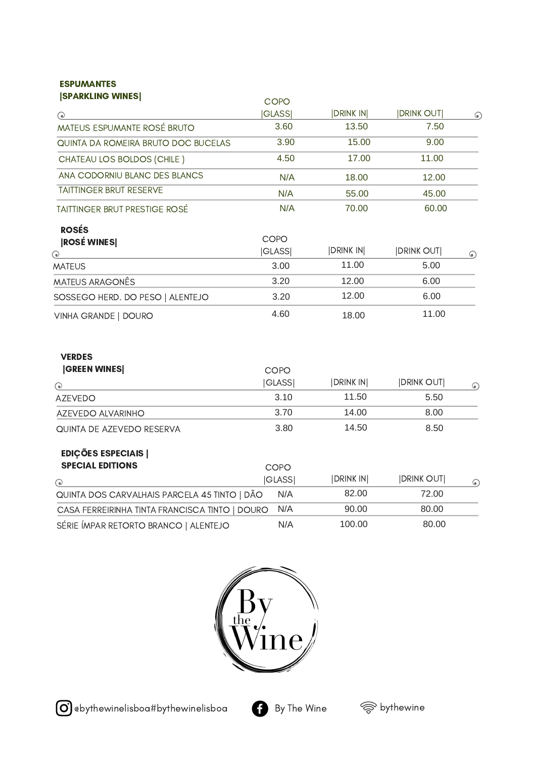## ESPUMANTES

| <b>SPARKLING WINES</b>                                | COPO                 |                 |                    |         |
|-------------------------------------------------------|----------------------|-----------------|--------------------|---------|
|                                                       | <b>GLASS</b>         | <b>DRINK IN</b> | <b>DRINK OUT</b>   | $\odot$ |
| MATEUS ESPUMANTE ROSÉ BRUTO                           | 3.60                 | 13.50           | 7.50               |         |
| QUINTA DA ROMEIRA BRUTO DOC BUCELAS                   | 3.90                 | 15.00           | 9.00               |         |
| CHATEAU LOS BOLDOS (CHILE)                            | 4.50                 | 17.00           | 11.00              |         |
| ANA CODORNIU BLANC DES BLANCS                         | N/A                  | 18.00           | 12.00              |         |
| TAITTINGER BRUT RESERVE                               | N/A                  | 55.00           | 45.00              |         |
| <b>TAITTINGER BRUT PRESTIGE ROSÉ</b>                  | N/A                  | 70.00           | 60.00              |         |
| <b>ROSÉS</b><br><b>ROSÉ WINES</b><br>⊙)               | COPO<br><b>GLASS</b> | <b>DRINK IN</b> | <b>IDRINK OUT </b> | $\odot$ |
| <b>MATEUS</b>                                         | 3.00                 | 11.00           | 5.00               |         |
| <b>MATEUS ARAGONÊS</b>                                | 3.20                 | 12.00           | 6.00               |         |
| SOSSEGO HERD. DO PESO   ALENTEJO                      | 3.20                 | 12.00           | 6.00               |         |
| VINHA GRANDE   DOURO                                  | 4.60                 | 18.00           | 11.00              |         |
| <b>VERDES</b>                                         |                      |                 |                    |         |
| <b>GREEN WINES</b>                                    | COPO                 |                 |                    |         |
| ⊙)                                                    | <b>GLASS</b>         | <b>DRINK IN</b> | <b>DRINK OUT</b>   | $\odot$ |
| <b>AZEVEDO</b>                                        | 3.10                 | 11.50           | 5.50               |         |
| AZEVEDO ALVARINHO                                     | 3.70                 | 14.00           | 8.00               |         |
| QUINTA DE AZEVEDO RESERVA                             | 3.80                 | 14.50           | 8.50               |         |
| <b>EDIÇÕES ESPECIAIS  </b><br><b>SPECIAL EDITIONS</b> | COPO                 |                 |                    |         |
|                                                       | <b>GLASS</b>         | <b>DRINK IN</b> | <b>DRINK OUT</b>   |         |
| (●)<br>QUINTA DOS CARVALHAIS PARCELA 45 TINTO   DÃO   | N/A                  | 82.00           | 72.00              | $\odot$ |
| CASA FERREIRINHA TINTA FRANCISCA TINTO   DOURO        | N/A                  | 90.00           | 80.00              |         |
| SÉRIE ÍMPAR RETORTO BRANCO   ALENTEJO                 | N/A                  | 100.00          | 80.00              |         |



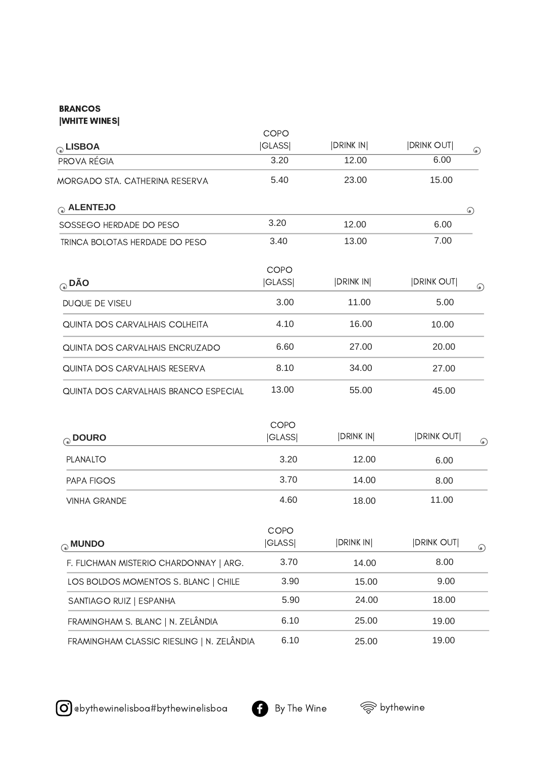## **BRANCOS** |WHITE WINES|

| a LISBOA                                  | COPO<br><b>GLASS</b>        | <b>DRINK IN</b> | <b>DRINK OUT</b>  |         |
|-------------------------------------------|-----------------------------|-----------------|-------------------|---------|
| <b>PROVA RÉGIA</b>                        | 3.20                        | 12.00           | 6.00              | $\odot$ |
| MORGADO STA. CATHERINA RESERVA            | 5.40                        | 23.00           | 15.00             |         |
| a ALENTEJO                                |                             |                 |                   | $\odot$ |
| SOSSEGO HERDADE DO PESO                   | 3.20                        | 12.00           | 6.00              |         |
| TRINCA BOLOTAS HERDADE DO PESO            | 3.40                        | 13.00           | 7.00              |         |
| $_{\odot}$ DÃO                            | COPO<br><b>GLASS</b>        | <b>DRINK IN</b> | <b>DRINK OUT </b> | $\odot$ |
| DUQUE DE VISEU                            | 3.00                        | 11.00           | 5.00              |         |
| QUINTA DOS CARVALHAIS COLHEITA            | 4.10                        | 16.00           | 10.00             |         |
| QUINTA DOS CARVALHAIS ENCRUZADO           | 6.60                        | 27.00           | 20.00             |         |
| QUINTA DOS CARVALHAIS RESERVA             | 8.10                        | 34.00           | 27.00             |         |
| QUINTA DOS CARVALHAIS BRANCO ESPECIAL     | 13.00                       | 55.00           | 45.00             |         |
| O DOURO                                   | COPO<br><b>GLASS</b>        | DRINK IN        | <b>DRINK OUT </b> | $\odot$ |
| <b>PLANALTO</b>                           | 3.20                        | 12.00           | 6.00              |         |
| <b>PAPA FIGOS</b>                         | 3.70                        | 14.00           | 8.00              |         |
| <b>VINHA GRANDE</b>                       | 4.60                        | 18.00           | 11.00             |         |
| <b>MUNDO</b>                              | <b>COPO</b><br><b>GLASS</b> | <b>DRINK IN</b> | <b>DRINK OUT</b>  | $\odot$ |
| F. FLICHMAN MISTERIO CHARDONNAY   ARG.    | 3.70                        | 14.00           | 8.00              |         |
| LOS BOLDOS MOMENTOS S. BLANC   CHILE      | 3.90                        | 15.00           | 9.00              |         |
| SANTIAGO RUIZ   ESPANHA                   | 5.90                        | 24.00           | 18.00             |         |
| FRAMINGHAM S. BLANC   N. ZELÂNDIA         | 6.10                        | 25.00           | 19.00             |         |
| FRAMINGHAM CLASSIC RIESLING   N. ZELÂNDIA | 6.10                        | 25.00           | 19.00             |         |

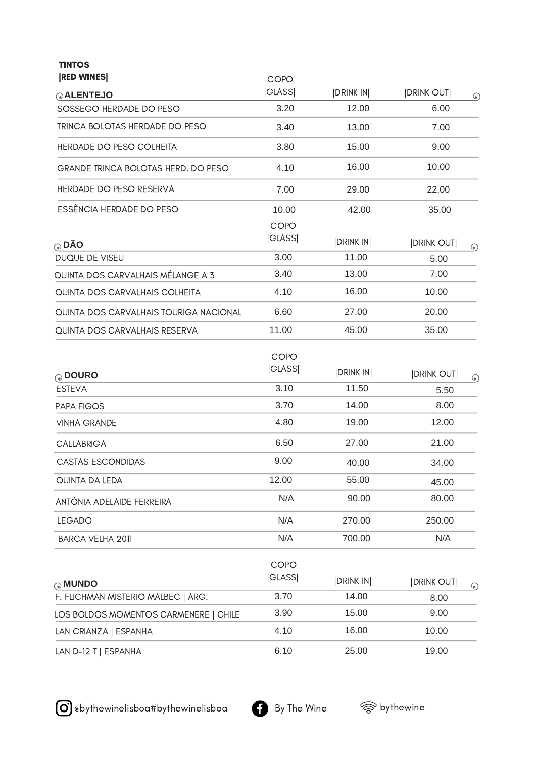TINTOS

| <b>RED WINES</b>                           | <b>COPO</b>          |                 |                    |         |
|--------------------------------------------|----------------------|-----------------|--------------------|---------|
| <b>ALENTEJO</b>                            | <b>GLASS</b>         | <b>DRINK IN</b> | <b>IDRINK OUT </b> | $\odot$ |
| SOSSEGO HERDADE DO PESO                    | 3.20                 | 12.00           | 6.00               |         |
| TRINCA BOLOTAS HERDADE DO PESO             | 3.40                 | 13.00           | 7.00               |         |
| HERDADE DO PESO COLHEITA                   | 3.80                 | 15.00           | 9.00               |         |
| <b>GRANDE TRINCA BOLOTAS HERD. DO PESO</b> | 4.10                 | 16.00           | 10.00              |         |
| HERDADE DO PESO RESERVA                    | 7.00                 | 29.00           | 22.00              |         |
| ESSÊNCIA HERDADE DO PESO                   | 10.00                | 42.00           | 35.00              |         |
| $\odot$ DÃO                                | COPO<br><b>GLASS</b> | <b>DRINK IN</b> | <b>DRINK OUT</b>   | $\odot$ |
| DUQUE DE VISEU                             | 3.00                 | 11.00           | 5.00               |         |
| QUINTA DOS CARVALHAIS MÉLANGE A 3          | 3.40                 | 13.00           | 7.00               |         |
| QUINTA DOS CARVALHAIS COLHEITA             | 4.10                 | 16.00           | 10.00              |         |
| QUINTA DOS CARVALHAIS TOURIGA NACIONAL     | 6.60                 | 27.00           | 20.00              |         |
| QUINTA DOS CARVALHAIS RESERVA              | 11.00                | 45.00           | 35.00              |         |
| O DOURO                                    | COPO<br><b>GLASS</b> | <b>DRINK IN</b> | <b>DRINK OUT</b>   | $\odot$ |
| <b>ESTEVA</b>                              | 3.10                 | 11.50           | 5.50               |         |
| PAPA FIGOS                                 | 3.70                 | 14.00           | 8.00               |         |
| <b>VINHA GRANDE</b>                        | 4.80                 | 19.00           | 12.00              |         |
| <b>CALLABRIGA</b>                          | 6.50                 | 27.00           | 21.00              |         |
| <b>CASTAS ESCONDIDAS</b>                   | 9.00                 | 40.00           | 34.00              |         |
| QUINTA DA LEDA                             | 12.00                | 55.00           | 45.00              |         |
| ANTÓNIA ADELAIDE FERREIRA                  | N/A                  | 90.00           | 80.00              |         |
| <b>LEGADO</b>                              | N/A                  | 270.00          | 250.00             |         |
| <b>BARCA VELHA 2011</b>                    | N/A                  | 700.00          | N/A                |         |
| <b>MUNDO</b>                               | COPO<br><b>GLASS</b> | <b>DRINK IN</b> | <b>DRINK OUT</b>   | $\odot$ |
| F. FLICHMAN MISTERIO MALBEC   ARG.         | 3.70                 | 14.00           | 8.00               |         |
| LOS BOLDOS MOMENTOS CARMENERE   CHILE      | 3.90                 | 15.00           | 9.00               |         |
| LAN CRIANZA   ESPANHA                      | 4.10                 | 16.00           | 10.00              |         |
| LAN D-12 T   ESPANHA                       | 6.10                 | 25.00           | 19.00              |         |

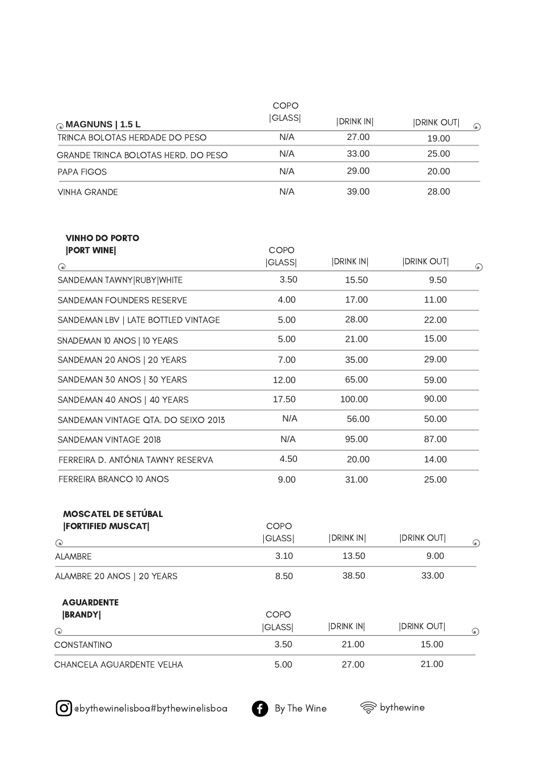|                                                                    | COPO                   |                 |                             |
|--------------------------------------------------------------------|------------------------|-----------------|-----------------------------|
| MAGNUNS   1.5 L                                                    | <b> GLASS </b>         | <b>DRINK IN</b> | <b>DRINK OUT</b><br>$\odot$ |
| TRINCA BOLOTAS HERDADE DO PESO                                     | N/A                    | 27.00           | 19.00                       |
| GRANDE TRINCA BOLOTAS HERD. DO PESO                                | N/A                    | 33.00           | 25.00                       |
| PAPA FIGOS                                                         | N/A                    | 29.00           | 20.00                       |
| <b>VINHA GRANDE</b>                                                | N/A                    | 39.00           | 28.00                       |
| <b>VINHO DO PORTO</b><br><b>PORT WINE</b><br>$\odot$               | COPO<br><b>GLASS</b>   | <b>DRINK IN</b> | <b>DRINK OUT</b><br>$\odot$ |
| SANDEMAN TAWNY RUBY WHITE                                          | 3.50                   | 15.50           | 9.50                        |
| SANDEMAN FOUNDERS RESERVE                                          | 4.00                   | 17.00           | 11.00                       |
| SANDEMAN LBV   LATE BOTTLED VINTAGE                                | 5.00                   | 28.00           | 22.00                       |
| SNADEMAN 10 ANOS   10 YEARS                                        | 5.00                   | 21.00           | 15.00                       |
| SANDEMAN 20 ANOS   20 YEARS                                        | 7.00                   | 35.00           | 29.00                       |
| SANDEMAN 30 ANOS   30 YEARS                                        | 12.00                  | 65.00           | 59.00                       |
| SANDEMAN 40 ANOS   40 YEARS                                        | 17.50                  | 100.00          | 90.00                       |
| SANDEMAN VINTAGE QTA. DO SEIXO 2013                                | N/A                    | 56.00           | 50.00                       |
| SANDEMAN VINTAGE 2018                                              | N/A                    | 95.00           | 87.00                       |
| FERREIRA D. ANTÓNIA TAWNY RESERVA                                  | 4.50                   | 20.00           | 14.00                       |
| FERREIRA BRANCO 10 ANOS                                            | 9.00                   | 31.00           | 25.00                       |
| <b>MOSCATEL DE SETÚBAL</b><br><b>[FORTIFIED MUSCAT]</b><br>$\odot$ | COPO<br><b> GLASS </b> | DRINK IN        | <b>DRINK OUT</b><br>$\odot$ |
| ALAMBRE                                                            | 3.10                   | 13.50           | 9.00                        |
| ALAMBRE 20 ANOS   20 YEARS                                         | 8.50                   | 38.50           | 33.00                       |
| <b>AGUARDENTE</b><br><b>BRANDY</b><br>(•)                          | COPO<br><b>GLASS</b>   | <b>DRINK IN</b> | <b>DRINK OUT</b><br>$\odot$ |
| CONSTANTINO                                                        | 3.50                   | 21.00           | 15.00                       |
| CHANCELA AGUARDENTE VELHA                                          | 5.00                   | 27.00           | 21.00                       |